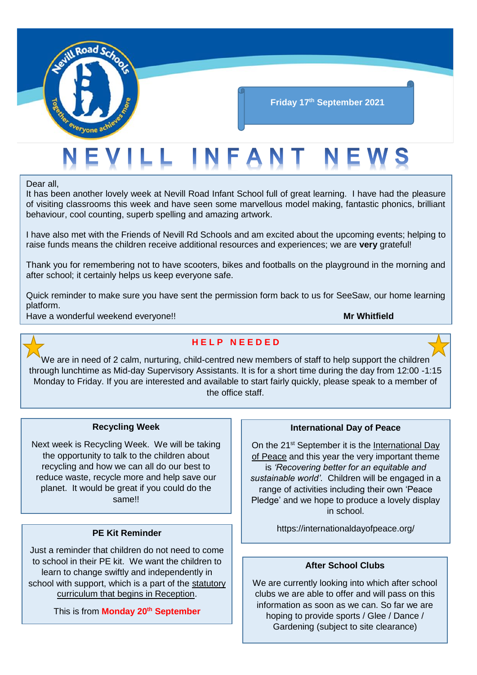

#### **Friday 17th September 2021**

# ILL INFANT

Dear all,

It has been another lovely week at Nevill Road Infant School full of great learning. I have had the pleasure of visiting classrooms this week and have seen some marvellous model making, fantastic phonics, brilliant behaviour, cool counting, superb spelling and amazing artwork.

I have also met with the Friends of Nevill Rd Schools and am excited about the upcoming events; helping to raise funds means the children receive additional resources and experiences; we are **very** grateful!

Thank you for remembering not to have scooters, bikes and footballs on the playground in the morning and after school; it certainly helps us keep everyone safe.

Quick reminder to make sure you have sent the permission form back to us for SeeSaw, our home learning platform.

Have a wonderful weekend everyone!! **Mr Whitfield**



#### **H E L P N E E D E D**

We are in need of 2 calm, nurturing, child-centred new members of staff to help support the children through lunchtime as Mid-day Supervisory Assistants. It is for a short time during the day from 12:00 -1:15 Monday to Friday. If you are interested and available to start fairly quickly, please speak to a member of the office staff.

#### **Recycling Week**

Next week is Recycling Week. We will be taking the opportunity to talk to the children about recycling and how we can all do our best to reduce waste, recycle more and help save our planet. It would be great if you could do the same!!

#### **PE Kit Reminder**

Just a reminder that children do not need to come to school in their PE kit. We want the children to learn to change swiftly and independently in school with support, which is a part of the statutory curriculum that begins in Reception.

This is from **Monday 20th September**

#### **International Day of Peace**

On the 21<sup>st</sup> September it is the International Day of Peace and this year the very important theme is *'Recovering better for an equitable and sustainable world'*. Children will be engaged in a range of activities including their own 'Peace Pledge' and we hope to produce a lovely display in school.

https://internationaldayofpeace.org/

#### **After School Clubs**

We are currently looking into which after school clubs we are able to offer and will pass on this information as soon as we can. So far we are hoping to provide sports / Glee / Dance / Gardening (subject to site clearance)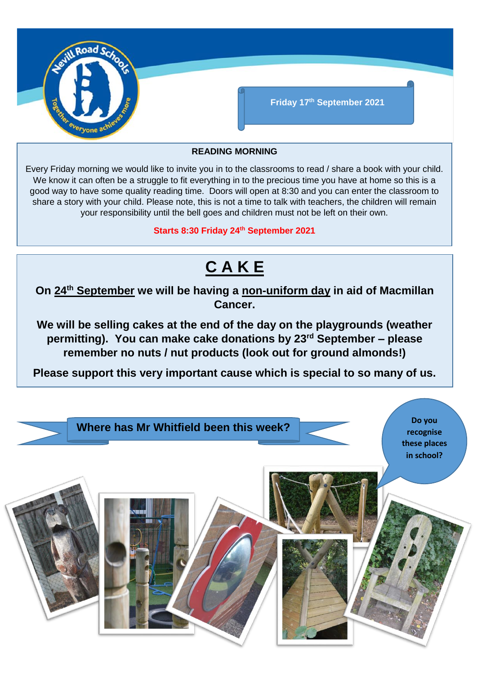

#### **READING MORNING**

Every Friday morning we would like to invite you in to the classrooms to read / share a book with your child. We know it can often be a struggle to fit everything in to the precious time you have at home so this is a good way to have some quality reading time. Doors will open at 8:30 and you can enter the classroom to share a story with your child. Please note, this is not a time to talk with teachers, the children will remain your responsibility until the bell goes and children must not be left on their own.

**Starts 8:30 Friday 24th September 2021**

## **C A K E**

**On 24th September we will be having a non-uniform day in aid of Macmillan Cancer.** 

**We will be selling cakes at the end of the day on the playgrounds (weather permitting). You can make cake donations by 23rd September – please remember no nuts / nut products (look out for ground almonds!)**

**Please support this very important cause which is special to so many of us.**